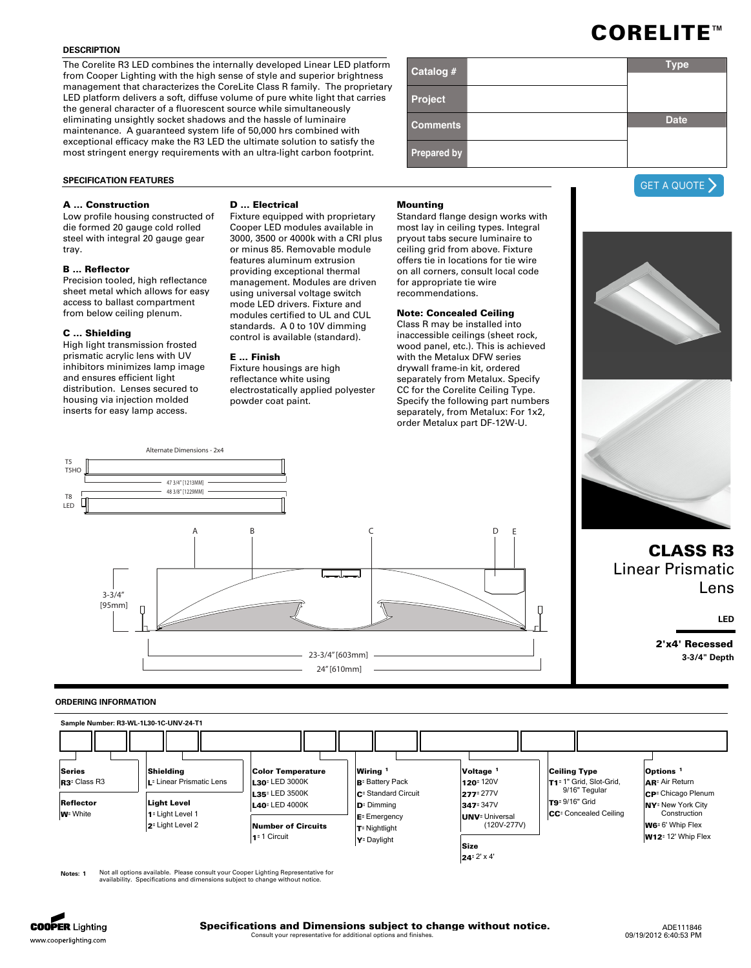## **DESCRIPTION**

The Corelite R3 LED combines the internally developed Linear LED platform from Cooper Lighting with the high sense of style and superior brightness management that characterizes the CoreLite Class R family. The proprietary LED platform delivers a soft, diffuse volume of pure white light that carries the general character of a fluorescent source while simultaneously eliminating unsightly socket shadows and the hassle of luminaire maintenance. A guaranteed system life of 50,000 hrs combined with exceptional efficacy make the R3 LED the ultimate solution to satisfy the most stringent energy requirements with an ultra-light carbon footprint.

### **SPECIFICATION FEATURES**

### **A ... Construction**

Low profile housing constructed of die formed 20 gauge cold rolled steel with integral 20 gauge gear tray.

# **B ... Reflector**

Precision tooled, high reflectance sheet metal which allows for easy access to ballast compartment from below ceiling plenum.

### **C ... Shielding**

High light transmission frosted prismatic acrylic lens with UV inhibitors minimizes lamp image and ensures efficient light distribution. Lenses secured to housing via injection molded inserts for easy lamp access.

### **D ... Electrical**

Fixture equipped with proprietary Cooper LED modules available in 3000, 3500 or 4000k with a CRI plus or minus 85. Removable module features aluminum extrusion providing exceptional thermal management. Modules are driven using universal voltage switch mode LED drivers. Fixture and modules certified to UL and CUL standards. A 0 to 10V dimming control is available (standard).

### **E ... Finish**

Fixture housings are high reflectance white using electrostatically applied polyester powder coat paint.



Standard flange design works with most lay in ceiling types. Integral pryout tabs secure luminaire to ceiling grid from above. Fixture offers tie in locations for tie wire on all corners, consult local code for appropriate tie wire recommendations.

## **Note: Concealed Ceiling**

Class R may be installed into inaccessible ceilings (sheet rock, wood panel, etc.). This is achieved with the Metalux DFW series drywall frame-in kit, ordered separately from Metalux. Specify CC for the Corelite Ceiling Type. Specify the following part numbers separately, from Metalux: For 1x2, order Metalux part DF-12W-U.



### **ORDERING INFORMATION**



**1** Not all options available. Please consult your Cooper Lighting Representative for<br>availability. Specifications and dimensions subject to change without notice.



| Catalog #          | <b>Type</b> |
|--------------------|-------------|
| Project            |             |
| <b>Comments</b>    | <b>Date</b> |
| <b>Prepared by</b> |             |



# **CLASS R3** Linear Prismatic Lens

**LED**

**2'x4' Recessed 3-3/4" Depth**